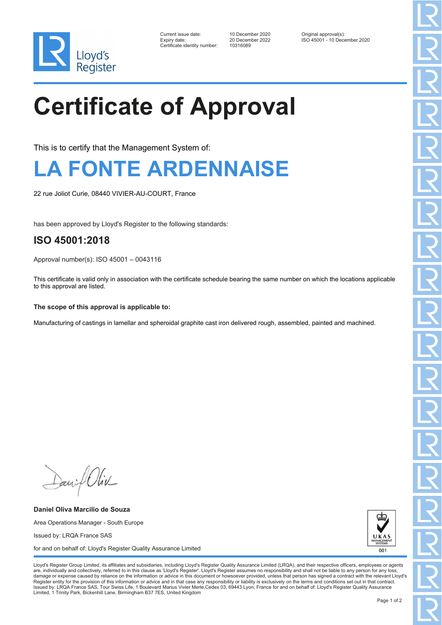

| Current issue date:         |
|-----------------------------|
| Expiry date:                |
| Certificate identitv number |

Certificate identity number: 10316089

Current issue date: 10 December 2020 Original approval(s): Expiry date: 20 December 2022 ISO 45001 - 10 December 2020

# **Certificate of Approval**

This is to certify that the Management System of:

### **LA FONTE ARDENNAISE**

22 rue Joliot Curie, 08440 VIVIER-AU-COURT, France

has been approved by Lloyd's Register to the following standards:

#### **ISO 45001:2018**

Approval number(s): ISO 45001 – 0043116

This certificate is valid only in association with the certificate schedule bearing the same number on which the locations applicable to this approval are listed.

#### **The scope of this approval is applicable to:**

Manufacturing of castings in lamellar and spheroidal graphite cast iron delivered rough, assembled, painted and machined.

Daniel Oliv

**Daniel Oliva Marcilio de Souza** Area Operations Manager - South Europe Issued by: LRQA France SAS for and on behalf of: Lloyd's Register Quality Assurance Limited



Lloyd's Register Group Limited, its affiliates and subsidiaries, including Lloyd's Register Quality Assurance Limited (LRQA), and their respective officers, employees or agents are, individually and collectively, referred to in this clause as 'Lloyd's Register'. Lloyd's Register assumes no responsibility and shall not be liable to any person for any los damage or expense caused by reliance on the information or advice in this document or howsoever provided, unless that person has signed a contract with the relevant Lloyd's<br>Register entity for the provision of this informa Issued by: LRQA France SAS, Tour Swiss Life, 1 Boulevard Marius Vivier Merle,Cedex 03, 69443 Lyon, France for and on behalf of: Lloyd's Register Quality Assurance Limited, 1 Trinity Park, Bickenhill Lane, Birmingham B37 7ES, United Kingdom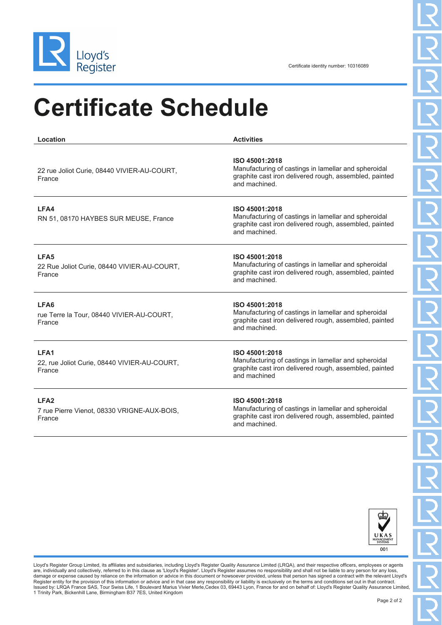

## **Certificate Schedule**

| Location                                                                  | <b>Activities</b>                                                                                                                                 |
|---------------------------------------------------------------------------|---------------------------------------------------------------------------------------------------------------------------------------------------|
| 22 rue Joliot Curie, 08440 VIVIER-AU-COURT,<br>France                     | ISO 45001:2018<br>Manufacturing of castings in lamellar and spheroidal<br>graphite cast iron delivered rough, assembled, painted<br>and machined. |
| LFA4<br>RN 51, 08170 HAYBES SUR MEUSE, France                             | ISO 45001:2018<br>Manufacturing of castings in lamellar and spheroidal<br>graphite cast iron delivered rough, assembled, painted<br>and machined. |
| LFA5<br>22 Rue Joliot Curie, 08440 VIVIER-AU-COURT,<br>France             | ISO 45001:2018<br>Manufacturing of castings in lamellar and spheroidal<br>graphite cast iron delivered rough, assembled, painted<br>and machined. |
| LFA6<br>rue Terre la Tour, 08440 VIVIER-AU-COURT,<br>France               | ISO 45001:2018<br>Manufacturing of castings in lamellar and spheroidal<br>graphite cast iron delivered rough, assembled, painted<br>and machined. |
| LFA1<br>22, rue Joliot Curie, 08440 VIVIER-AU-COURT,<br>France            | ISO 45001:2018<br>Manufacturing of castings in lamellar and spheroidal<br>graphite cast iron delivered rough, assembled, painted<br>and machined  |
| LFA <sub>2</sub><br>7 rue Pierre Vienot, 08330 VRIGNE-AUX-BOIS,<br>France | ISO 45001:2018<br>Manufacturing of castings in lamellar and spheroidal<br>graphite cast iron delivered rough, assembled, painted<br>and machined. |



Lloyd's Register Group Limited, its affiliates and subsidiaries, including Lloyd's Register Quality Assurance Limited (LRQA), and their respective officers, employees or agents are, individually and collectively, referred to in this clause as 'Lloyd's Register'. Lloyd's Register assumes no responsibility and shall not be liable to any person for any loss,<br>damage or expense caused by reliance on t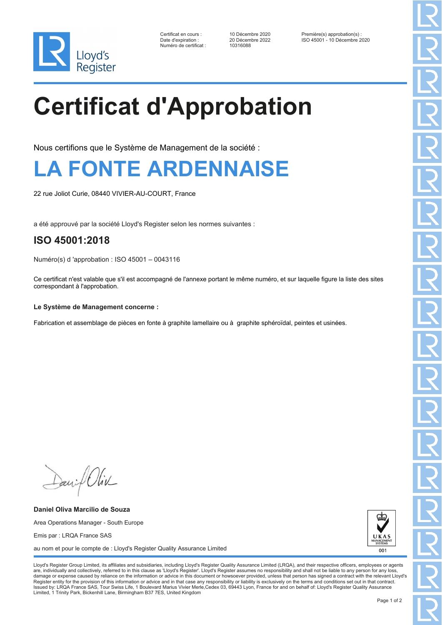

Numéro de certificat : 10316088

Certificat en cours : 10 Décembre 2020 Première(s) approbation(s) : Date d'expiration : 20 Décembre 2022 ISO 45001 - 10 Décembre 2020

# **Certificat d'Approbation**

Nous certifions que le Système de Management de la société :

### **LA FONTE ARDENNAISE**

22 rue Joliot Curie, 08440 VIVIER-AU-COURT, France

a été approuvé par la société Lloyd's Register selon les normes suivantes :

#### **ISO 45001:2018**

Numéro(s) d 'approbation : ISO 45001 – 0043116

Ce certificat n'est valable que s'il est accompagné de l'annexe portant le même numéro, et sur laquelle figure la liste des sites correspondant à l'approbation.

#### **Le Système de Management concerne :**

Fabrication et assemblage de pièces en fonte à graphite lamellaire ou à graphite sphéroïdal, peintes et usinées.

Daniel Oliv

**Daniel Oliva Marcilio de Souza** Area Operations Manager - South Europe Emis par : LRQA France SAS au nom et pour le compte de : Lloyd's Register Quality Assurance Limited



Lloyd's Register Group Limited, its affiliates and subsidiaries, including Lloyd's Register Quality Assurance Limited (LRQA), and their respective officers, employees or agents are, individually and collectively, referred to in this clause as 'Lloyd's Register'. Lloyd's Register assumes no responsibility and shall not be liable to any person for any los damage or expense caused by reliance on the information or advice in this document or howsoever provided, unless that person has signed a contract with the relevant Lloyd's<br>Register entity for the provision of this informa Issued by: LRQA France SAS, Tour Swiss Life, 1 Boulevard Marius Vivier Merle,Cedex 03, 69443 Lyon, France for and on behalf of: Lloyd's Register Quality Assurance Limited, 1 Trinity Park, Bickenhill Lane, Birmingham B37 7ES, United Kingdom